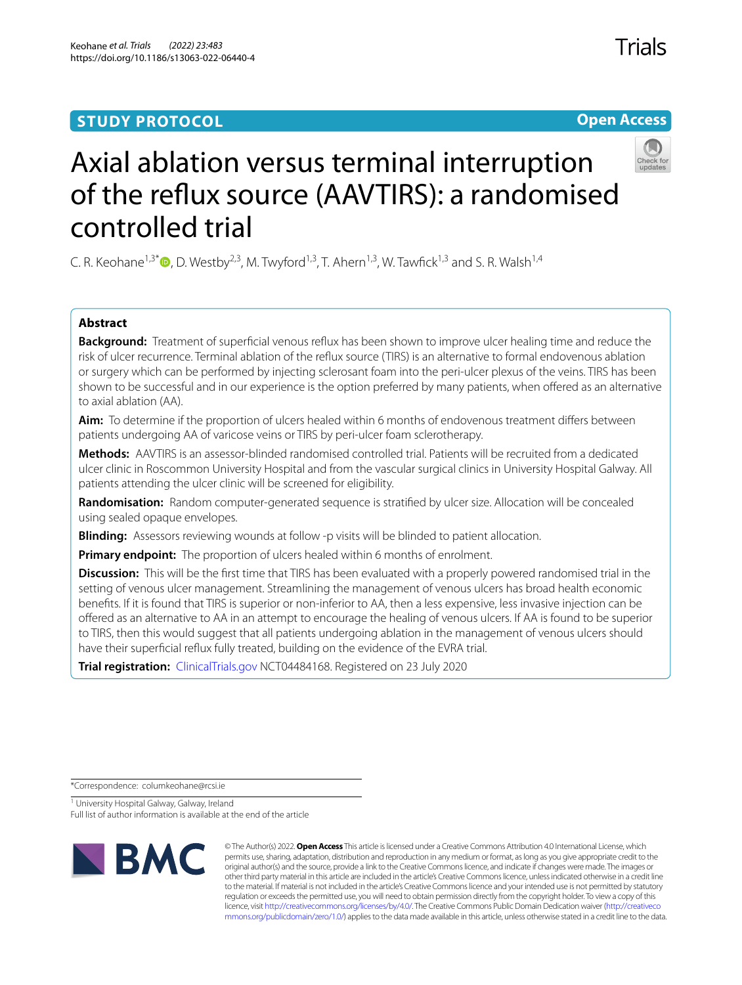## **STUDY PROTOCOL**

# **Open Access**



Trials

# Axial ablation versus terminal interruption of the refux source (AAVTIRS): a randomised controlled trial

C. R. Keohane<sup>1,3[\\*](http://orcid.org/0000-0002-8553-0865)</sup>  $\Phi$ , D. Westby<sup>2,3</sup>, M. Twyford<sup>1,3</sup>, T. Ahern<sup>1,3</sup>, W. Tawfick<sup>1,3</sup> and S. R. Walsh<sup>1,4</sup>

### **Abstract**

**Background:** Treatment of superfcial venous refux has been shown to improve ulcer healing time and reduce the risk of ulcer recurrence. Terminal ablation of the refux source (TIRS) is an alternative to formal endovenous ablation or surgery which can be performed by injecting sclerosant foam into the peri-ulcer plexus of the veins. TIRS has been shown to be successful and in our experience is the option preferred by many patients, when ofered as an alternative to axial ablation (AA).

**Aim:** To determine if the proportion of ulcers healed within 6 months of endovenous treatment difers between patients undergoing AA of varicose veins or TIRS by peri-ulcer foam sclerotherapy.

**Methods:** AAVTIRS is an assessor-blinded randomised controlled trial. Patients will be recruited from a dedicated ulcer clinic in Roscommon University Hospital and from the vascular surgical clinics in University Hospital Galway. All patients attending the ulcer clinic will be screened for eligibility.

**Randomisation:** Random computer-generated sequence is stratifed by ulcer size. Allocation will be concealed using sealed opaque envelopes.

**Blinding:** Assessors reviewing wounds at follow -p visits will be blinded to patient allocation.

**Primary endpoint:** The proportion of ulcers healed within 6 months of enrolment.

**Discussion:** This will be the first time that TIRS has been evaluated with a properly powered randomised trial in the setting of venous ulcer management. Streamlining the management of venous ulcers has broad health economic benefts. If it is found that TIRS is superior or non-inferior to AA, then a less expensive, less invasive injection can be ofered as an alternative to AA in an attempt to encourage the healing of venous ulcers. If AA is found to be superior to TIRS, then this would suggest that all patients undergoing ablation in the management of venous ulcers should have their superfcial refux fully treated, building on the evidence of the EVRA trial.

**Trial registration:** [ClinicalTrials.gov](http://clinicaltrials.gov) NCT04484168. Registered on 23 July 2020

\*Correspondence: columkeohane@rcsi.ie

<sup>1</sup> University Hospital Galway, Galway, Ireland Full list of author information is available at the end of the article



© The Author(s) 2022. **Open Access** This article is licensed under a Creative Commons Attribution 4.0 International License, which permits use, sharing, adaptation, distribution and reproduction in any medium or format, as long as you give appropriate credit to the original author(s) and the source, provide a link to the Creative Commons licence, and indicate if changes were made. The images or other third party material in this article are included in the article's Creative Commons licence, unless indicated otherwise in a credit line to the material. If material is not included in the article's Creative Commons licence and your intended use is not permitted by statutory regulation or exceeds the permitted use, you will need to obtain permission directly from the copyright holder. To view a copy of this licence, visit [http://creativecommons.org/licenses/by/4.0/.](http://creativecommons.org/licenses/by/4.0/) The Creative Commons Public Domain Dedication waiver ([http://creativeco](http://creativecommons.org/publicdomain/zero/1.0/) [mmons.org/publicdomain/zero/1.0/](http://creativecommons.org/publicdomain/zero/1.0/)) applies to the data made available in this article, unless otherwise stated in a credit line to the data.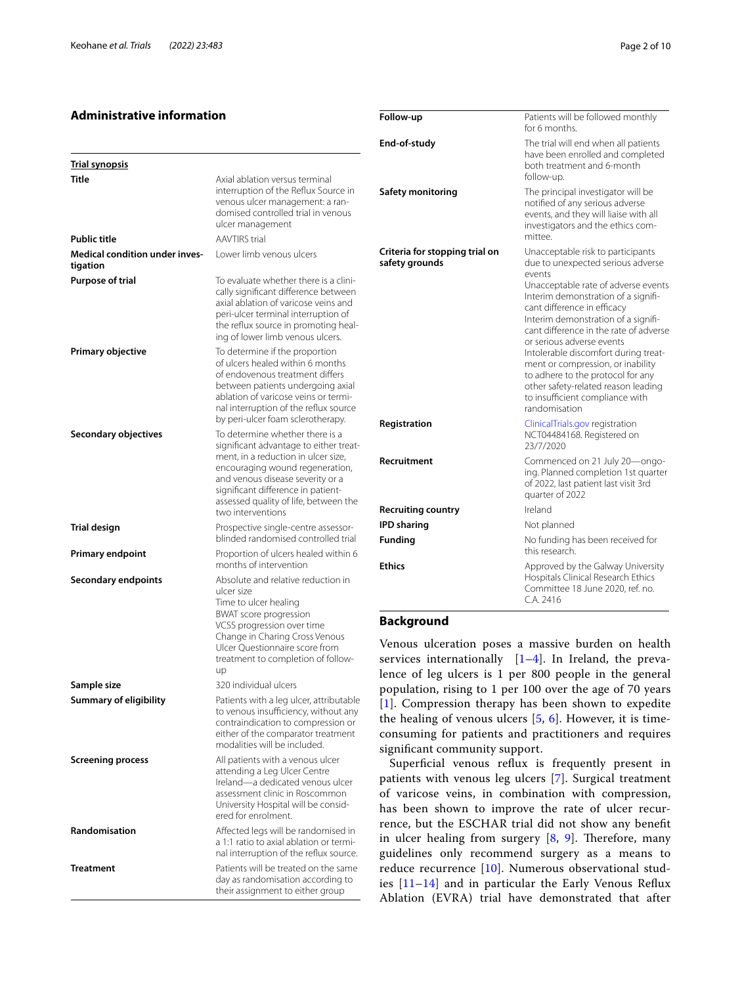#### **Administrative information**

| <b>Trial synopsis</b>                      |                                                                                                                                                                                                                                                                                             |
|--------------------------------------------|---------------------------------------------------------------------------------------------------------------------------------------------------------------------------------------------------------------------------------------------------------------------------------------------|
| Title                                      | Axial ablation versus terminal<br>interruption of the Reflux Source in<br>venous ulcer management: a ran-<br>domised controlled trial in venous<br>ulcer management                                                                                                                         |
| <b>Public title</b>                        | <b>AAVTIRS</b> trial                                                                                                                                                                                                                                                                        |
| Medical condition under inves-<br>tigation | Lower limb venous ulcers                                                                                                                                                                                                                                                                    |
| <b>Purpose of trial</b>                    | To evaluate whether there is a clini-<br>cally significant difference between<br>axial ablation of varicose veins and<br>peri-ulcer terminal interruption of<br>the reflux source in promoting heal-<br>ing of lower limb venous ulcers.                                                    |
| <b>Primary objective</b>                   | To determine if the proportion<br>of ulcers healed within 6 months<br>of endovenous treatment differs<br>between patients undergoing axial<br>ablation of varicose veins or termi-<br>nal interruption of the reflux source<br>by peri-ulcer foam sclerotherapy.                            |
| Secondary objectives                       | To determine whether there is a<br>significant advantage to either treat-<br>ment, in a reduction in ulcer size,<br>encouraging wound regeneration,<br>and venous disease severity or a<br>significant difference in patient-<br>assessed quality of life, between the<br>two interventions |
| Trial design                               | Prospective single-centre assessor-<br>blinded randomised controlled trial                                                                                                                                                                                                                  |
| <b>Primary endpoint</b>                    | Proportion of ulcers healed within 6<br>months of intervention                                                                                                                                                                                                                              |
| Secondary endpoints                        | Absolute and relative reduction in<br>ulcer size<br>Time to ulcer healing<br><b>BWAT</b> score progression<br>VCSS progression over time<br>Change in Charing Cross Venous<br>Ulcer Questionnaire score from<br>treatment to completion of follow-<br>up                                    |
| Sample size                                | 320 individual ulcers                                                                                                                                                                                                                                                                       |
| Summary of eligibility                     | Patients with a leg ulcer, attributable<br>to venous insufficiency, without any<br>contraindication to compression or<br>either of the comparator treatment<br>modalities will be included.                                                                                                 |
| <b>Screening process</b>                   | All patients with a venous ulcer<br>attending a Leg Ulcer Centre<br>Ireland-a dedicated venous ulcer<br>assessment clinic in Roscommon<br>University Hospital will be consid-<br>ered for enrolment.                                                                                        |
| Randomisation                              | Affected legs will be randomised in<br>a 1:1 ratio to axial ablation or termi-<br>nal interruption of the reflux source.                                                                                                                                                                    |
| <b>Treatment</b>                           | Patients will be treated on the same<br>day as randomisation according to<br>their assignment to either group                                                                                                                                                                               |

| Follow-up                                        | Patients will be followed monthly<br>for 6 months.                                                                                                                                                                                                                                                                                                                                                                                                                                                                       |
|--------------------------------------------------|--------------------------------------------------------------------------------------------------------------------------------------------------------------------------------------------------------------------------------------------------------------------------------------------------------------------------------------------------------------------------------------------------------------------------------------------------------------------------------------------------------------------------|
| End-of-study                                     | The trial will end when all patients<br>have been enrolled and completed<br>both treatment and 6-month<br>follow-up.                                                                                                                                                                                                                                                                                                                                                                                                     |
| Safety monitoring                                | The principal investigator will be<br>notified of any serious adverse<br>events, and they will liaise with all<br>investigators and the ethics com-<br>mittee.                                                                                                                                                                                                                                                                                                                                                           |
| Criteria for stopping trial on<br>safety grounds | Unacceptable risk to participants<br>due to unexpected serious adverse<br>events<br>Unacceptable rate of adverse events<br>Interim demonstration of a signifi-<br>cant difference in efficacy<br>Interim demonstration of a signifi-<br>cant difference in the rate of adverse<br>or serious adverse events<br>Intolerable discomfort during treat-<br>ment or compression, or inability<br>to adhere to the protocol for any<br>other safety-related reason leading<br>to insufficient compliance with<br>randomisation |
| Registration                                     | ClinicalTrials.gov registration<br>NCT04484168. Registered on<br>23/7/2020                                                                                                                                                                                                                                                                                                                                                                                                                                               |
| Recruitment                                      | Commenced on 21 July 20-ongo-<br>ing. Planned completion 1st quarter<br>of 2022, last patient last visit 3rd<br>quarter of 2022                                                                                                                                                                                                                                                                                                                                                                                          |
| <b>Recruiting country</b>                        | Ireland                                                                                                                                                                                                                                                                                                                                                                                                                                                                                                                  |
| <b>IPD</b> sharing                               | Not planned                                                                                                                                                                                                                                                                                                                                                                                                                                                                                                              |
| <b>Funding</b>                                   | No funding has been received for<br>this research.                                                                                                                                                                                                                                                                                                                                                                                                                                                                       |
| <b>Ethics</b>                                    | Approved by the Galway University<br>Hospitals Clinical Research Ethics<br>Committee 18 June 2020, ref. no.<br>C.A. 2416                                                                                                                                                                                                                                                                                                                                                                                                 |

#### **Background**

enous ulceration poses a massive burden on health rvices internationally  $[1-4]$  $[1-4]$ . In Ireland, the prevance of leg ulcers is 1 per 800 people in the general population, rising to 1 per 100 over the age of 70 years ]. Compression therapy has been shown to expedite the healing of venous ulcers [\[5](#page-8-2), [6\]](#page-8-3). However, it is timeonsuming for patients and practitioners and requires gnificant community support.

Superficial venous reflux is frequently present in tients with venous leg ulcers [\[7](#page-8-4)]. Surgical treatment varicose veins, in combination with compression, is been shown to improve the rate of ulcer recurnce, but the ESCHAR trial did not show any benefit ulcer healing from surgery  $[8, 9]$  $[8, 9]$  $[8, 9]$  $[8, 9]$  $[8, 9]$ . Therefore, many idelines only recommend surgery as a means to duce recurrence [\[10](#page-8-7)]. Numerous observational stud $s$  [\[11](#page-8-8)[–14](#page-8-9)] and in particular the Early Venous Reflux Ablation (EVRA) trial have demonstrated that after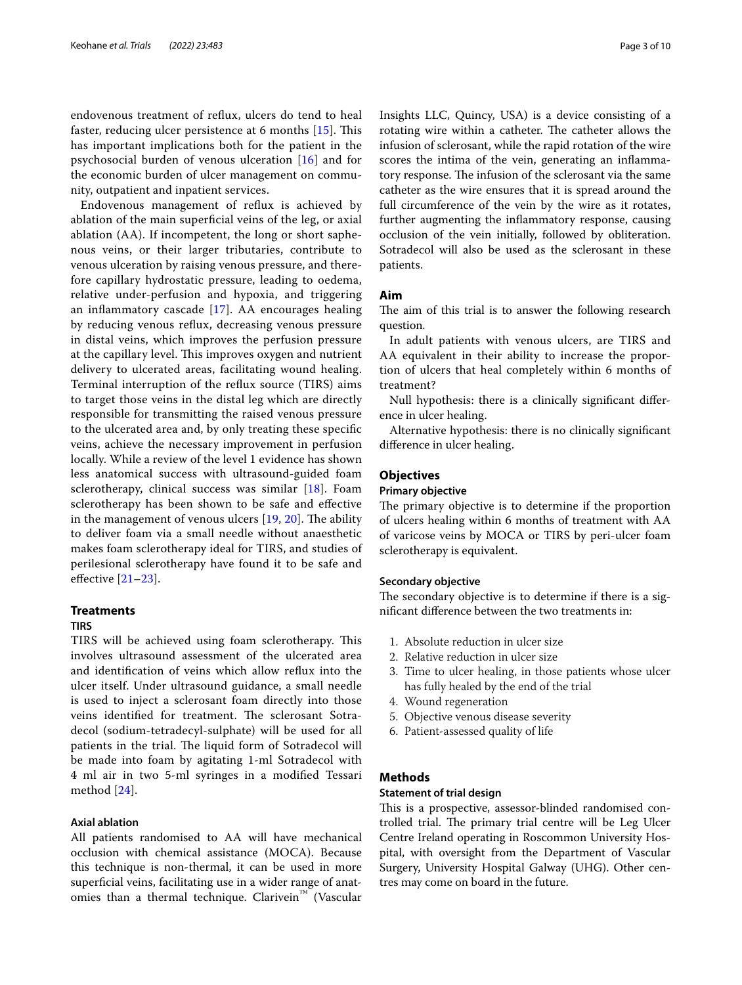endovenous treatment of refux, ulcers do tend to heal faster, reducing ulcer persistence at 6 months  $[15]$  $[15]$ . This has important implications both for the patient in the psychosocial burden of venous ulceration [\[16](#page-9-1)] and for the economic burden of ulcer management on community, outpatient and inpatient services.

Endovenous management of refux is achieved by ablation of the main superfcial veins of the leg, or axial ablation (AA). If incompetent, the long or short saphenous veins, or their larger tributaries, contribute to venous ulceration by raising venous pressure, and therefore capillary hydrostatic pressure, leading to oedema, relative under-perfusion and hypoxia, and triggering an inflammatory cascade  $[17]$  $[17]$ . AA encourages healing by reducing venous refux, decreasing venous pressure in distal veins, which improves the perfusion pressure at the capillary level. This improves oxygen and nutrient delivery to ulcerated areas, facilitating wound healing. Terminal interruption of the refux source (TIRS) aims to target those veins in the distal leg which are directly responsible for transmitting the raised venous pressure to the ulcerated area and, by only treating these specifc veins, achieve the necessary improvement in perfusion locally. While a review of the level 1 evidence has shown less anatomical success with ultrasound-guided foam sclerotherapy, clinical success was similar [[18](#page-9-3)]. Foam sclerotherapy has been shown to be safe and efective in the management of venous ulcers  $[19, 20]$  $[19, 20]$  $[19, 20]$ . The ability to deliver foam via a small needle without anaesthetic makes foam sclerotherapy ideal for TIRS, and studies of perilesional sclerotherapy have found it to be safe and efective [\[21](#page-9-6)[–23](#page-9-7)].

#### **Treatments**

#### **TIRS**

TIRS will be achieved using foam sclerotherapy. This involves ultrasound assessment of the ulcerated area and identifcation of veins which allow refux into the ulcer itself. Under ultrasound guidance, a small needle is used to inject a sclerosant foam directly into those veins identified for treatment. The sclerosant Sotradecol (sodium-tetradecyl-sulphate) will be used for all patients in the trial. The liquid form of Sotradecol will be made into foam by agitating 1-ml Sotradecol with 4 ml air in two 5-ml syringes in a modifed Tessari method [[24\]](#page-9-8).

#### **Axial ablation**

All patients randomised to AA will have mechanical occlusion with chemical assistance (MOCA). Because this technique is non-thermal, it can be used in more superficial veins, facilitating use in a wider range of anatomies than a thermal technique. Clarivein<sup>™</sup> (Vascular Insights LLC, Quincy, USA) is a device consisting of a rotating wire within a catheter. The catheter allows the infusion of sclerosant, while the rapid rotation of the wire scores the intima of the vein, generating an inflammatory response. The infusion of the sclerosant via the same catheter as the wire ensures that it is spread around the full circumference of the vein by the wire as it rotates, further augmenting the infammatory response, causing occlusion of the vein initially, followed by obliteration. Sotradecol will also be used as the sclerosant in these patients.

#### **Aim**

The aim of this trial is to answer the following research question.

In adult patients with venous ulcers, are TIRS and AA equivalent in their ability to increase the proportion of ulcers that heal completely within 6 months of treatment?

Null hypothesis: there is a clinically signifcant diference in ulcer healing.

Alternative hypothesis: there is no clinically signifcant diference in ulcer healing.

#### **Objectives**

#### **Primary objective**

The primary objective is to determine if the proportion of ulcers healing within 6 months of treatment with AA of varicose veins by MOCA or TIRS by peri-ulcer foam sclerotherapy is equivalent.

#### **Secondary objective**

The secondary objective is to determine if there is a signifcant diference between the two treatments in:

- 1. Absolute reduction in ulcer size
- 2. Relative reduction in ulcer size
- 3. Time to ulcer healing, in those patients whose ulcer has fully healed by the end of the trial
- 4. Wound regeneration
- 5. Objective venous disease severity
- 6. Patient-assessed quality of life

#### **Methods**

#### **Statement of trial design**

This is a prospective, assessor-blinded randomised controlled trial. The primary trial centre will be Leg Ulcer Centre Ireland operating in Roscommon University Hospital, with oversight from the Department of Vascular Surgery, University Hospital Galway (UHG). Other centres may come on board in the future.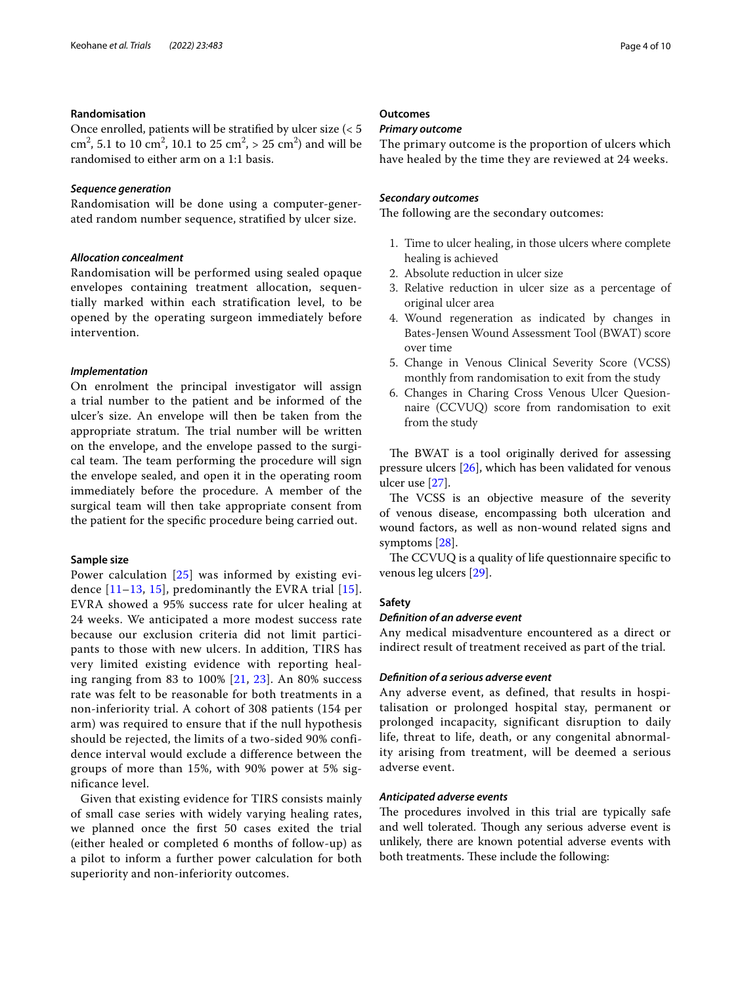#### **Randomisation**

Once enrolled, patients will be stratifed by ulcer size (< 5 cm<sup>2</sup>, 5.1 to 10 cm<sup>2</sup>, 10.1 to 25 cm<sup>2</sup>, > 25 cm<sup>2</sup>) and will be randomised to either arm on a 1:1 basis.

#### *Sequence generation*

Randomisation will be done using a computer-generated random number sequence, stratifed by ulcer size.

#### *Allocation concealment*

Randomisation will be performed using sealed opaque envelopes containing treatment allocation, sequentially marked within each stratification level, to be opened by the operating surgeon immediately before intervention.

#### *Implementation*

On enrolment the principal investigator will assign a trial number to the patient and be informed of the ulcer's size. An envelope will then be taken from the appropriate stratum. The trial number will be written on the envelope, and the envelope passed to the surgical team. The team performing the procedure will sign the envelope sealed, and open it in the operating room immediately before the procedure. A member of the surgical team will then take appropriate consent from the patient for the specifc procedure being carried out.

#### **Sample size**

Power calculation [[25\]](#page-9-9) was informed by existing evidence  $[11-13, 15]$  $[11-13, 15]$  $[11-13, 15]$  $[11-13, 15]$  $[11-13, 15]$ , predominantly the EVRA trial  $[15]$  $[15]$ . EVRA showed a 95% success rate for ulcer healing at 24 weeks. We anticipated a more modest success rate because our exclusion criteria did not limit participants to those with new ulcers. In addition, TIRS has very limited existing evidence with reporting healing ranging from 83 to 100% [[21,](#page-9-6) [23\]](#page-9-7). An 80% success rate was felt to be reasonable for both treatments in a non-inferiority trial. A cohort of 308 patients (154 per arm) was required to ensure that if the null hypothesis should be rejected, the limits of a two-sided 90% confidence interval would exclude a difference between the groups of more than 15%, with 90% power at 5% significance level.

Given that existing evidence for TIRS consists mainly of small case series with widely varying healing rates, we planned once the frst 50 cases exited the trial (either healed or completed 6 months of follow-up) as a pilot to inform a further power calculation for both superiority and non-inferiority outcomes.

#### **Outcomes**

#### *Primary outcome*

The primary outcome is the proportion of ulcers which have healed by the time they are reviewed at 24 weeks.

#### *Secondary outcomes*

The following are the secondary outcomes:

- 1. Time to ulcer healing, in those ulcers where complete healing is achieved
- 2. Absolute reduction in ulcer size
- 3. Relative reduction in ulcer size as a percentage of original ulcer area
- 4. Wound regeneration as indicated by changes in Bates-Jensen Wound Assessment Tool (BWAT) score over time
- 5. Change in Venous Clinical Severity Score (VCSS) monthly from randomisation to exit from the study
- 6. Changes in Charing Cross Venous Ulcer Quesionnaire (CCVUQ) score from randomisation to exit from the study

The BWAT is a tool originally derived for assessing pressure ulcers [[26\]](#page-9-10), which has been validated for venous ulcer use [[27](#page-9-11)].

The VCSS is an objective measure of the severity of venous disease, encompassing both ulceration and wound factors, as well as non-wound related signs and symptoms [\[28](#page-9-12)].

The CCVUQ is a quality of life questionnaire specific to venous leg ulcers [[29](#page-9-13)].

#### **Safety**

#### *Defnition of an adverse event*

Any medical misadventure encountered as a direct or indirect result of treatment received as part of the trial.

#### *Defnition of a serious adverse event*

Any adverse event, as defined, that results in hospitalisation or prolonged hospital stay, permanent or prolonged incapacity, significant disruption to daily life, threat to life, death, or any congenital abnormality arising from treatment, will be deemed a serious adverse event.

#### *Anticipated adverse events*

The procedures involved in this trial are typically safe and well tolerated. Though any serious adverse event is unlikely, there are known potential adverse events with both treatments. These include the following: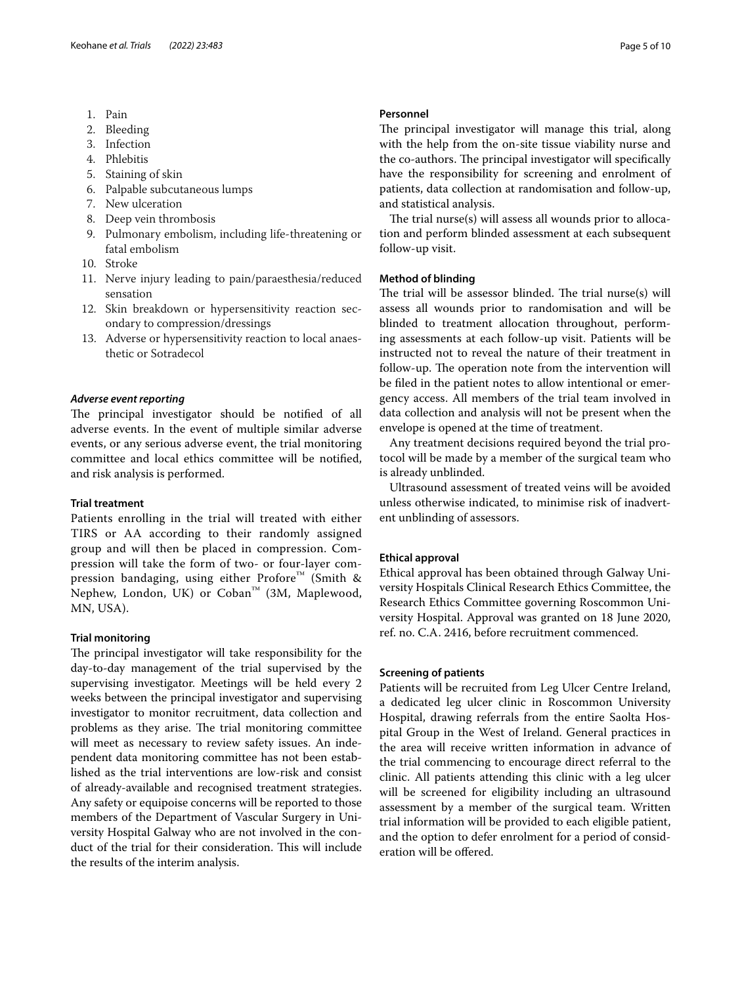- 1. Pain
- 2. Bleeding
- 3. Infection
- 4. Phlebitis
- 5. Staining of skin
- 6. Palpable subcutaneous lumps
- 7. New ulceration
- 8. Deep vein thrombosis
- 9. Pulmonary embolism, including life-threatening or fatal embolism
- 10. Stroke
- 11. Nerve injury leading to pain/paraesthesia/reduced sensation
- 12. Skin breakdown or hypersensitivity reaction secondary to compression/dressings
- 13. Adverse or hypersensitivity reaction to local anaesthetic or Sotradecol

#### *Adverse event reporting*

The principal investigator should be notified of all adverse events. In the event of multiple similar adverse events, or any serious adverse event, the trial monitoring committee and local ethics committee will be notifed, and risk analysis is performed.

#### **Trial treatment**

Patients enrolling in the trial will treated with either TIRS or AA according to their randomly assigned group and will then be placed in compression. Compression will take the form of two- or four-layer compression bandaging, using either Profore™ (Smith & Nephew, London, UK) or Coban™ (3M, Maplewood, MN, USA).

#### **Trial monitoring**

The principal investigator will take responsibility for the day-to-day management of the trial supervised by the supervising investigator. Meetings will be held every 2 weeks between the principal investigator and supervising investigator to monitor recruitment, data collection and problems as they arise. The trial monitoring committee will meet as necessary to review safety issues. An independent data monitoring committee has not been established as the trial interventions are low-risk and consist of already-available and recognised treatment strategies. Any safety or equipoise concerns will be reported to those members of the Department of Vascular Surgery in University Hospital Galway who are not involved in the conduct of the trial for their consideration. This will include the results of the interim analysis.

#### **Personnel**

The principal investigator will manage this trial, along with the help from the on-site tissue viability nurse and the co-authors. The principal investigator will specifically have the responsibility for screening and enrolment of patients, data collection at randomisation and follow-up, and statistical analysis.

The trial nurse(s) will assess all wounds prior to allocation and perform blinded assessment at each subsequent follow-up visit.

#### **Method of blinding**

The trial will be assessor blinded. The trial  $nurse(s)$  will assess all wounds prior to randomisation and will be blinded to treatment allocation throughout, performing assessments at each follow-up visit. Patients will be instructed not to reveal the nature of their treatment in follow-up. The operation note from the intervention will be fled in the patient notes to allow intentional or emergency access. All members of the trial team involved in data collection and analysis will not be present when the envelope is opened at the time of treatment.

Any treatment decisions required beyond the trial protocol will be made by a member of the surgical team who is already unblinded.

Ultrasound assessment of treated veins will be avoided unless otherwise indicated, to minimise risk of inadvertent unblinding of assessors.

#### **Ethical approval**

Ethical approval has been obtained through Galway University Hospitals Clinical Research Ethics Committee, the Research Ethics Committee governing Roscommon University Hospital. Approval was granted on 18 June 2020, ref. no. C.A. 2416, before recruitment commenced.

#### **Screening of patients**

Patients will be recruited from Leg Ulcer Centre Ireland, a dedicated leg ulcer clinic in Roscommon University Hospital, drawing referrals from the entire Saolta Hospital Group in the West of Ireland. General practices in the area will receive written information in advance of the trial commencing to encourage direct referral to the clinic. All patients attending this clinic with a leg ulcer will be screened for eligibility including an ultrasound assessment by a member of the surgical team. Written trial information will be provided to each eligible patient, and the option to defer enrolment for a period of consideration will be ofered.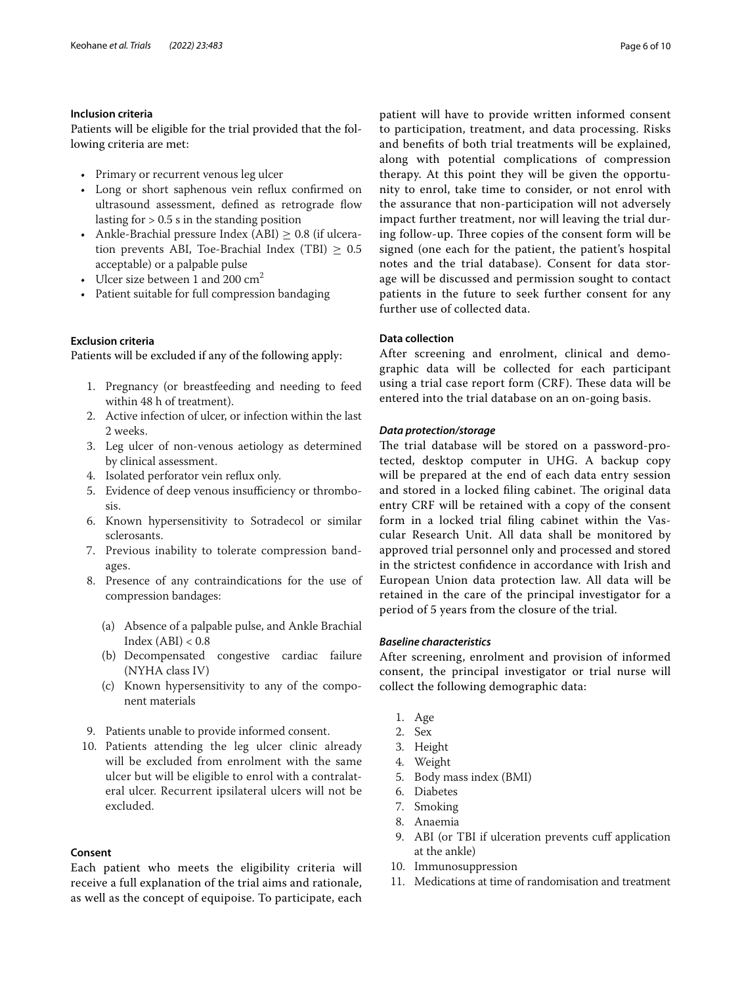#### **Inclusion criteria**

Patients will be eligible for the trial provided that the following criteria are met:

- Primary or recurrent venous leg ulcer
- Long or short saphenous vein refux confrmed on ultrasound assessment, defned as retrograde fow lasting for  $> 0.5$  s in the standing position
- Ankle-Brachial pressure Index (ABI)  $\geq$  0.8 (if ulceration prevents ABI, Toe-Brachial Index (TBI)  $\geq 0.5$ acceptable) or a palpable pulse
- Ulcer size between 1 and 200  $\text{cm}^2$
- Patient suitable for full compression bandaging

#### **Exclusion criteria**

Patients will be excluded if any of the following apply:

- 1. Pregnancy (or breastfeeding and needing to feed within 48 h of treatment).
- 2. Active infection of ulcer, or infection within the last 2 weeks.
- 3. Leg ulcer of non-venous aetiology as determined by clinical assessment.
- 4. Isolated perforator vein refux only.
- 5. Evidence of deep venous insufficiency or thrombosis.
- 6. Known hypersensitivity to Sotradecol or similar sclerosants.
- 7. Previous inability to tolerate compression bandages.
- 8. Presence of any contraindications for the use of compression bandages:
	- (a) Absence of a palpable pulse, and Ankle Brachial Index  $(ABI) < 0.8$
	- (b) Decompensated congestive cardiac failure (NYHA class IV)
	- (c) Known hypersensitivity to any of the component materials
- 9. Patients unable to provide informed consent.
- 10. Patients attending the leg ulcer clinic already will be excluded from enrolment with the same ulcer but will be eligible to enrol with a contralateral ulcer. Recurrent ipsilateral ulcers will not be excluded.

#### **Consent**

Each patient who meets the eligibility criteria will receive a full explanation of the trial aims and rationale, as well as the concept of equipoise. To participate, each patient will have to provide written informed consent to participation, treatment, and data processing. Risks and benefts of both trial treatments will be explained, along with potential complications of compression therapy. At this point they will be given the opportunity to enrol, take time to consider, or not enrol with the assurance that non-participation will not adversely impact further treatment, nor will leaving the trial during follow-up. Three copies of the consent form will be signed (one each for the patient, the patient's hospital notes and the trial database). Consent for data storage will be discussed and permission sought to contact patients in the future to seek further consent for any further use of collected data.

#### **Data collection**

After screening and enrolment, clinical and demographic data will be collected for each participant using a trial case report form (CRF). These data will be entered into the trial database on an on-going basis.

#### *Data protection/storage*

The trial database will be stored on a password-protected, desktop computer in UHG. A backup copy will be prepared at the end of each data entry session and stored in a locked filing cabinet. The original data entry CRF will be retained with a copy of the consent form in a locked trial fling cabinet within the Vascular Research Unit. All data shall be monitored by approved trial personnel only and processed and stored in the strictest confdence in accordance with Irish and European Union data protection law. All data will be retained in the care of the principal investigator for a period of 5 years from the closure of the trial.

#### *Baseline characteristics*

After screening, enrolment and provision of informed consent, the principal investigator or trial nurse will collect the following demographic data:

- 1. Age
- 2. Sex
- 3. Height
- 4. Weight
- 5. Body mass index (BMI)
- 6. Diabetes
- 7. Smoking
- 8. Anaemia
- 9. ABI (or TBI if ulceration prevents cuf application at the ankle)
- 10. Immunosuppression
- 11. Medications at time of randomisation and treatment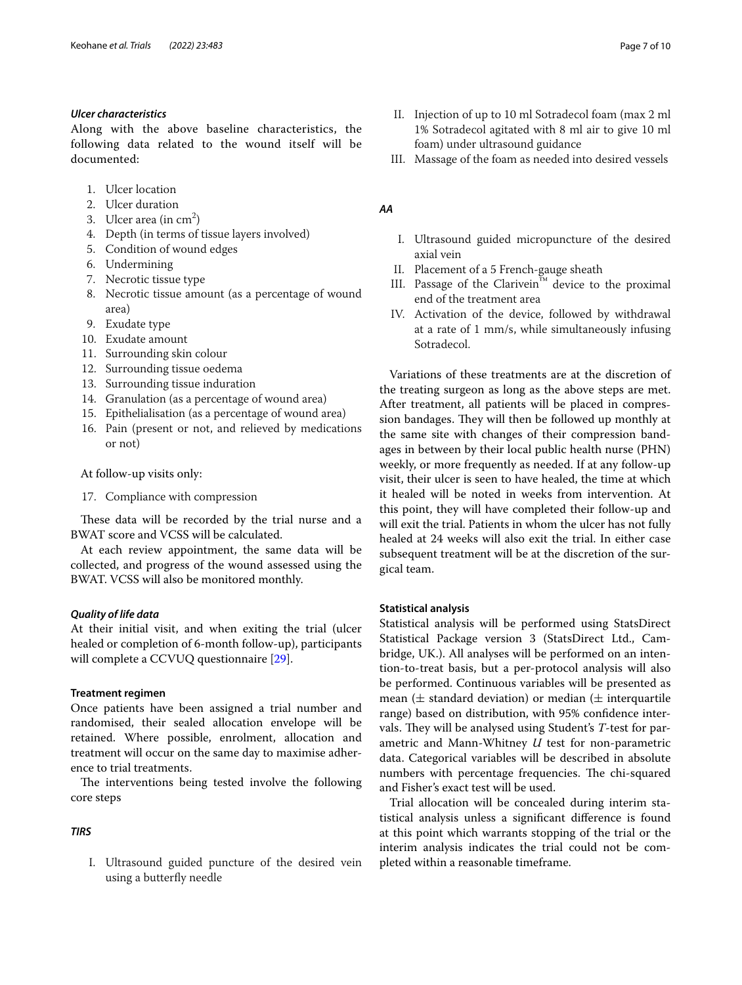#### *Ulcer characteristics*

Along with the above baseline characteristics, the following data related to the wound itself will be documented:

- 1. Ulcer location
- 2. Ulcer duration
- 3. Ulcer area (in  $\text{cm}^2$ )
- 4. Depth (in terms of tissue layers involved)
- 5. Condition of wound edges
- 6. Undermining
- 7. Necrotic tissue type
- 8. Necrotic tissue amount (as a percentage of wound area)
- 9. Exudate type
- 10. Exudate amount
- 11. Surrounding skin colour
- 12. Surrounding tissue oedema
- 13. Surrounding tissue induration
- 14. Granulation (as a percentage of wound area)
- 15. Epithelialisation (as a percentage of wound area)
- 16. Pain (present or not, and relieved by medications or not)

At follow-up visits only:

17. Compliance with compression

These data will be recorded by the trial nurse and a BWAT score and VCSS will be calculated.

At each review appointment, the same data will be collected, and progress of the wound assessed using the BWAT. VCSS will also be monitored monthly.

#### *Quality of life data*

At their initial visit, and when exiting the trial (ulcer healed or completion of 6-month follow-up), participants will complete a CCVUQ questionnaire [\[29\]](#page-9-13).

#### **Treatment regimen**

Once patients have been assigned a trial number and randomised, their sealed allocation envelope will be retained. Where possible, enrolment, allocation and treatment will occur on the same day to maximise adherence to trial treatments.

The interventions being tested involve the following core steps

#### *TIRS*

I. Ultrasound guided puncture of the desired vein using a butterfy needle

- II. Injection of up to 10 ml Sotradecol foam (max 2 ml 1% Sotradecol agitated with 8 ml air to give 10 ml foam) under ultrasound guidance
- III. Massage of the foam as needed into desired vessels

#### *AA*

- I. Ultrasound guided micropuncture of the desired axial vein
- II. Placement of a 5 French-gauge sheath
- III. Passage of the Clarivein™ device to the proximal end of the treatment area
- IV. Activation of the device, followed by withdrawal at a rate of 1 mm/s, while simultaneously infusing Sotradecol.

Variations of these treatments are at the discretion of the treating surgeon as long as the above steps are met. After treatment, all patients will be placed in compression bandages. They will then be followed up monthly at the same site with changes of their compression bandages in between by their local public health nurse (PHN) weekly, or more frequently as needed. If at any follow-up visit, their ulcer is seen to have healed, the time at which it healed will be noted in weeks from intervention. At this point, they will have completed their follow-up and will exit the trial. Patients in whom the ulcer has not fully healed at 24 weeks will also exit the trial. In either case subsequent treatment will be at the discretion of the surgical team.

#### **Statistical analysis**

Statistical analysis will be performed using StatsDirect Statistical Package version 3 (StatsDirect Ltd., Cambridge, UK.). All analyses will be performed on an intention-to-treat basis, but a per-protocol analysis will also be performed. Continuous variables will be presented as mean ( $\pm$  standard deviation) or median ( $\pm$  interquartile range) based on distribution, with 95% confdence intervals. They will be analysed using Student's *T*-test for parametric and Mann-Whitney *U* test for non-parametric data. Categorical variables will be described in absolute numbers with percentage frequencies. The chi-squared and Fisher's exact test will be used.

Trial allocation will be concealed during interim statistical analysis unless a signifcant diference is found at this point which warrants stopping of the trial or the interim analysis indicates the trial could not be completed within a reasonable timeframe.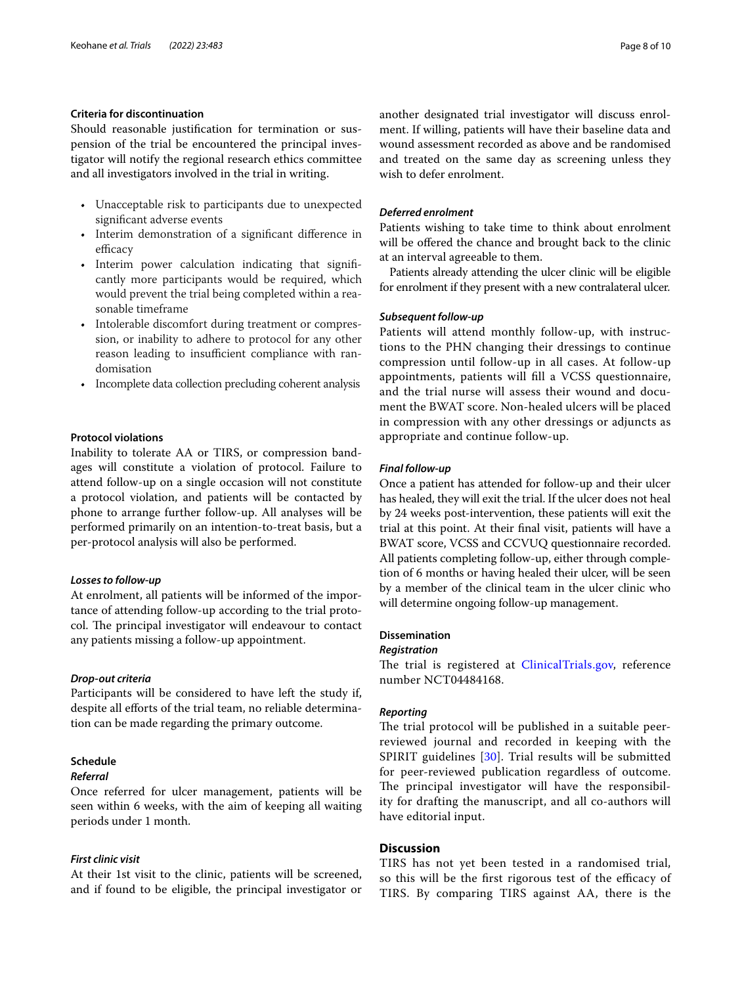#### **Criteria for discontinuation**

Should reasonable justifcation for termination or suspension of the trial be encountered the principal investigator will notify the regional research ethics committee and all investigators involved in the trial in writing.

- Unacceptable risk to participants due to unexpected signifcant adverse events
- Interim demonstration of a signifcant diference in efficacy
- Interim power calculation indicating that signifcantly more participants would be required, which would prevent the trial being completed within a reasonable timeframe
- Intolerable discomfort during treatment or compression, or inability to adhere to protocol for any other reason leading to insufficient compliance with randomisation
- Incomplete data collection precluding coherent analysis

#### **Protocol violations**

Inability to tolerate AA or TIRS, or compression bandages will constitute a violation of protocol. Failure to attend follow-up on a single occasion will not constitute a protocol violation, and patients will be contacted by phone to arrange further follow-up. All analyses will be performed primarily on an intention-to-treat basis, but a per-protocol analysis will also be performed.

#### *Losses to follow‑up*

At enrolment, all patients will be informed of the importance of attending follow-up according to the trial protocol. The principal investigator will endeavour to contact any patients missing a follow-up appointment.

#### *Drop‑out criteria*

Participants will be considered to have left the study if, despite all eforts of the trial team, no reliable determination can be made regarding the primary outcome.

#### **Schedule**

#### *Referral*

Once referred for ulcer management, patients will be seen within 6 weeks, with the aim of keeping all waiting periods under 1 month.

#### *First clinic visit*

At their 1st visit to the clinic, patients will be screened, and if found to be eligible, the principal investigator or another designated trial investigator will discuss enrolment. If willing, patients will have their baseline data and wound assessment recorded as above and be randomised and treated on the same day as screening unless they wish to defer enrolment.

#### *Deferred enrolment*

Patients wishing to take time to think about enrolment will be offered the chance and brought back to the clinic at an interval agreeable to them.

Patients already attending the ulcer clinic will be eligible for enrolment if they present with a new contralateral ulcer.

#### *Subsequent follow‑up*

Patients will attend monthly follow-up, with instructions to the PHN changing their dressings to continue compression until follow-up in all cases. At follow-up appointments, patients will fll a VCSS questionnaire, and the trial nurse will assess their wound and document the BWAT score. Non-healed ulcers will be placed in compression with any other dressings or adjuncts as appropriate and continue follow-up.

#### *Final follow‑up*

Once a patient has attended for follow-up and their ulcer has healed, they will exit the trial. If the ulcer does not heal by 24 weeks post-intervention, these patients will exit the trial at this point. At their fnal visit, patients will have a BWAT score, VCSS and CCVUQ questionnaire recorded. All patients completing follow-up, either through completion of 6 months or having healed their ulcer, will be seen by a member of the clinical team in the ulcer clinic who will determine ongoing follow-up management.

#### **Dissemination**

#### *Registration*

The trial is registered at [ClinicalTrials.gov](http://clinicaltrials.gov), reference number NCT04484168.

#### *Reporting*

The trial protocol will be published in a suitable peerreviewed journal and recorded in keeping with the SPIRIT guidelines [[30\]](#page-9-14). Trial results will be submitted for peer-reviewed publication regardless of outcome. The principal investigator will have the responsibility for drafting the manuscript, and all co-authors will have editorial input.

#### **Discussion**

TIRS has not yet been tested in a randomised trial, so this will be the first rigorous test of the efficacy of TIRS. By comparing TIRS against AA, there is the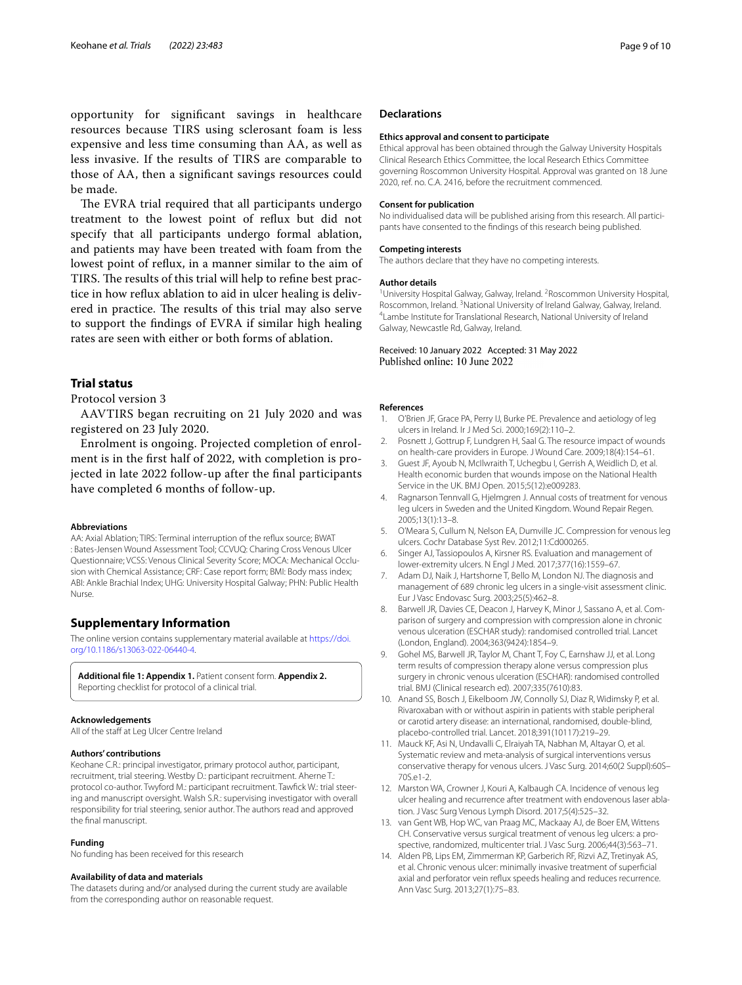opportunity for signifcant savings in healthcare resources because TIRS using sclerosant foam is less expensive and less time consuming than AA, as well as less invasive. If the results of TIRS are comparable to those of AA, then a signifcant savings resources could be made.

The EVRA trial required that all participants undergo treatment to the lowest point of refux but did not specify that all participants undergo formal ablation, and patients may have been treated with foam from the lowest point of refux, in a manner similar to the aim of TIRS. The results of this trial will help to refine best practice in how refux ablation to aid in ulcer healing is delivered in practice. The results of this trial may also serve to support the fndings of EVRA if similar high healing rates are seen with either or both forms of ablation.

#### **Trial status**

Protocol version 3

AAVTIRS began recruiting on 21 July 2020 and was registered on 23 July 2020.

Enrolment is ongoing. Projected completion of enrolment is in the frst half of 2022, with completion is projected in late 2022 follow-up after the fnal participants have completed 6 months of follow-up.

#### **Abbreviations**

AA: Axial Ablation; TIRS: Terminal interruption of the refux source; BWAT : Bates-Jensen Wound Assessment Tool; CCVUQ: Charing Cross Venous Ulcer Questionnaire; VCSS: Venous Clinical Severity Score; MOCA: Mechanical Occlusion with Chemical Assistance; CRF: Case report form; BMI: Body mass index; ABI: Ankle Brachial Index; UHG: University Hospital Galway; PHN: Public Health Nurse.

#### **Supplementary Information**

The online version contains supplementary material available at [https://doi.](https://doi.org/10.1186/s13063-022-06440-4) [org/10.1186/s13063-022-06440-4](https://doi.org/10.1186/s13063-022-06440-4).

**Additional fle 1: Appendix 1.** Patient consent form. **Appendix 2.** Reporting checklist for protocol of a clinical trial.

#### **Acknowledgements**

All of the staff at Leg Ulcer Centre Ireland

#### **Authors' contributions**

Keohane C.R.: principal investigator, primary protocol author, participant, recruitment, trial steering. Westby D.: participant recruitment. Aherne T.: protocol co-author. Twyford M.: participant recruitment. Tawfick W.: trial steering and manuscript oversight. Walsh S.R.: supervising investigator with overall responsibility for trial steering, senior author. The authors read and approved the fnal manuscript.

#### **Funding**

No funding has been received for this research

#### **Availability of data and materials**

The datasets during and/or analysed during the current study are available from the corresponding author on reasonable request.

#### **Declarations**

#### **Ethics approval and consent to participate**

Ethical approval has been obtained through the Galway University Hospitals Clinical Research Ethics Committee, the local Research Ethics Committee governing Roscommon University Hospital. Approval was granted on 18 June 2020, ref. no. C.A. 2416, before the recruitment commenced.

#### **Consent for publication**

No individualised data will be published arising from this research. All participants have consented to the fndings of this research being published.

#### **Competing interests**

The authors declare that they have no competing interests.

#### **Author details**

<sup>1</sup> University Hospital Galway, Galway, Ireland. <sup>2</sup> Roscommon University Hospital, Roscommon, Ireland. <sup>3</sup>National University of Ireland Galway, Galway, Ireland.<br><sup>4</sup>Lambe Institute for Translational Besearch, National University of Ireland. <sup>4</sup> Lambe Institute for Translational Research, National University of Ireland Galway, Newcastle Rd, Galway, Ireland.

#### Received: 10 January 2022 Accepted: 31 May 2022 Published online: 10 June 2022

#### **References**

- <span id="page-8-0"></span>1. O'Brien JF, Grace PA, Perry IJ, Burke PE. Prevalence and aetiology of leg ulcers in Ireland. Ir J Med Sci. 2000;169(2):110–2.
- 2. Posnett J, Gottrup F, Lundgren H, Saal G. The resource impact of wounds on health-care providers in Europe. J Wound Care. 2009;18(4):154–61.
- 3. Guest JF, Ayoub N, McIlwraith T, Uchegbu I, Gerrish A, Weidlich D, et al. Health economic burden that wounds impose on the National Health Service in the UK. BMJ Open. 2015;5(12):e009283.
- <span id="page-8-1"></span>4. Ragnarson Tennvall G, Hjelmgren J. Annual costs of treatment for venous leg ulcers in Sweden and the United Kingdom. Wound Repair Regen. 2005;13(1):13–8.
- <span id="page-8-2"></span>5. O'Meara S, Cullum N, Nelson EA, Dumville JC. Compression for venous leg ulcers. Cochr Database Syst Rev. 2012;11:Cd000265.
- <span id="page-8-3"></span>6. Singer AJ, Tassiopoulos A, Kirsner RS. Evaluation and management of lower-extremity ulcers. N Engl J Med. 2017;377(16):1559–67.
- <span id="page-8-4"></span>7. Adam DJ, Naik J, Hartshorne T, Bello M, London NJ. The diagnosis and management of 689 chronic leg ulcers in a single-visit assessment clinic. Eur J Vasc Endovasc Surg. 2003;25(5):462–8.
- <span id="page-8-5"></span>8. Barwell JR, Davies CE, Deacon J, Harvey K, Minor J, Sassano A, et al. Comparison of surgery and compression with compression alone in chronic venous ulceration (ESCHAR study): randomised controlled trial. Lancet (London, England). 2004;363(9424):1854–9.
- <span id="page-8-6"></span>9. Gohel MS, Barwell JR, Taylor M, Chant T, Foy C, Earnshaw JJ, et al. Long term results of compression therapy alone versus compression plus surgery in chronic venous ulceration (ESCHAR): randomised controlled trial. BMJ (Clinical research ed). 2007;335(7610):83.
- <span id="page-8-7"></span>10. Anand SS, Bosch J, Eikelboom JW, Connolly SJ, Diaz R, Widimsky P, et al. Rivaroxaban with or without aspirin in patients with stable peripheral or carotid artery disease: an international, randomised, double-blind, placebo-controlled trial. Lancet. 2018;391(10117):219–29.
- <span id="page-8-8"></span>11. Mauck KF, Asi N, Undavalli C, Elraiyah TA, Nabhan M, Altayar O, et al. Systematic review and meta-analysis of surgical interventions versus conservative therapy for venous ulcers. J Vasc Surg. 2014;60(2 Suppl):60S– 70S.e1-2.
- 12. Marston WA, Crowner J, Kouri A, Kalbaugh CA, Incidence of venous leg ulcer healing and recurrence after treatment with endovenous laser ablation. J Vasc Surg Venous Lymph Disord. 2017;5(4):525–32.
- <span id="page-8-10"></span>13. van Gent WB, Hop WC, van Praag MC, Mackaay AJ, de Boer EM, Wittens CH. Conservative versus surgical treatment of venous leg ulcers: a prospective, randomized, multicenter trial. J Vasc Surg. 2006;44(3):563–71.
- <span id="page-8-9"></span>14. Alden PB, Lips EM, Zimmerman KP, Garberich RF, Rizvi AZ, Tretinyak AS, et al. Chronic venous ulcer: minimally invasive treatment of superfcial axial and perforator vein refux speeds healing and reduces recurrence. Ann Vasc Surg. 2013;27(1):75–83.